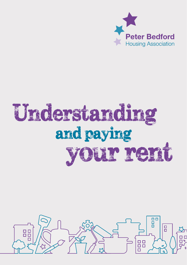

# your rent Understanding and paying

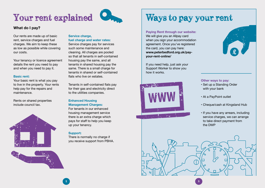

### **What do I pay?**

Our rents are made up of basic rent, service charges and fuel charges. We aim to keep these as low as possible while covering our costs.

Your tenancy or licence agreement details the rent you need to pay and when you need to pay it.

#### **Basic rent:**

Your basic rent is what you pay to live in the property. Your rents help pay for the repairs and maintenance.

Rents on shared properties include council tax.





### Service charge.

**fuel charge and water rates:** Service charges pay for services such some maintenance and cleaning. All charges are pooled so that all tenants in self-contained housing pay the same, and all tenants in shared housing pay the same. There is a small charge for tenants in shared or self-contained flats who live on estates.

Tenants in self-contained flats pay for their gas and electricity direct to the utilities companies.

### **Enhanced Housing Management Charges:**

For tenants in our enhanced housing management service there is an extra charge which pays for staff to help you keep up your tenancy.

### **Support:**

There is normally no charge if you receive support from PBHA.

## Your rent explained Ways to pay your rent

**Paying Rent through our website:**

We will give you an Allpay card when you sign your accommodation agreement. Once you've registered the card, you can pay here: **www.peterbedford.org.uk/payyour-rent-online/**

If you need help, just ask your Support Worker to show you how it works.





### **Other ways to pay:**

- Set up a Standing Order with your bank
- At a PayPoint outlet
- Cheque/cash at Kingsland Hub
- If you have any arrears, including service charges, we can arrange to take direct payment from the DWP



2 ) and the contract of the contract of the contract of the contract of the contract of  $\mathbf{3}$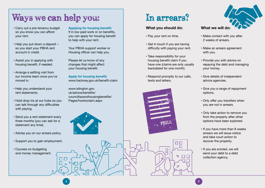## Ways we can help you: In arrears?

- Carry out a pre-tenancy budget so you know you can afford your rent.
- Help you put down a deposit so you start your PBHA rent account in credit.
- Assist you in applying with housing benefit, if needed.
- Arrange a settling visit from our income team once you've moved in.
- Help you understand your rent statements.
- Hold drop ins at our hubs so you can talk through any difficulties with paying.
- Send you a rent statement every three months (you can ask for a statement any time).
- Advise you on our arrears policy.
- Support you to gain employment.
- Courses on budgeting and money management.

**Applying for housing benefit:** If in low paid work or on benefits, you can apply for housing benefit to help with your rent.

Your PBHA support worker or Housing officer can help you.

Please let us know of any changes that might affect your housing benefit.

**Apply for housing benefit:** www.hackney.gov.uk/benefit-claim

www.islington.gov. uk/advice/benefits/ counciltaxandhousingbenefits/ Pages/howtoclaim.aspx



### **What you should do:**

- Pay your rent on time.
- Get in touch if you are having difficulty with paying your rent.
- Take responsibility for your housing benefit claim if you have one (claims are only usually backdated for one month).
- Respond promptly to our calls, texts and letters.

 $\Box$  $\Box$ 

 $\mathcal{D}_{\mathcal{L}}$ 



 $\Box$ 



- Make contact with you after 2 weeks of arrears.
- Make an arrears agreement with you.
- Provide you with advice on repaying the debt and managing your money.
- Give details of independent advice agencies.
- Give you a range of repayment options.
- Only offer you transfers when you are not in arrears.
- Only take action to remove you from the property after other options have been explored.
- If you have more than 8 weeks arrears we will issue notice and take court action to recover the property.
- If you are evicted, we will send your debt to a debt collection agency.